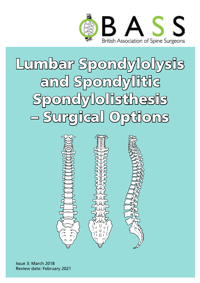

Lumbar Spondylolysis and Spondylitic Spondylolisthesis – Surgical Options



Issue 3: March 2018 Review date: February 2021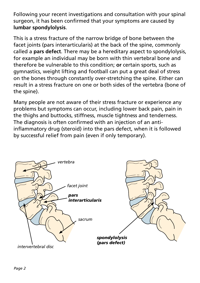Following your recent investigations and consultation with your spinal surgeon, it has been confirmed that your symptoms are caused by **lumbar spondylolysis**.

This is a stress fracture of the narrow bridge of bone between the facet joints (pars interarticularis) at the back of the spine, commonly called a **pars defect**. There may be a hereditary aspect to spondylolysis, for example an individual may be born with thin vertebral bone and therefore be vulnerable to this condition; **or** certain sports, such as gymnastics, weight lifting and football can put a great deal of stress on the bones through constantly over-stretching the spine. Either can result in a stress fracture on one or both sides of the vertebra (bone of the spine).

Many people are not aware of their stress fracture or experience any problems but symptoms can occur, including lower back pain, pain in the thighs and buttocks, stiffness, muscle tightness and tenderness. The diagnosis is often confirmed with an injection of an antiinflammatory drug (steroid) into the pars defect, when it is followed by successful relief from pain (even if only temporary).

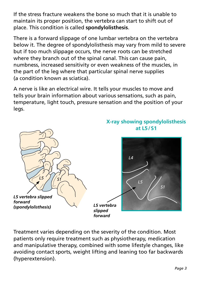If the stress fracture weakens the bone so much that it is unable to maintain its proper position, the vertebra can start to shift out of place. This condition is called **spondylolisthesis**.

There is a forward slippage of one lumbar vertebra on the vertebra below it. The degree of spondylolisthesis may vary from mild to severe but if too much slippage occurs, the nerve roots can be stretched where they branch out of the spinal canal. This can cause pain, numbness, increased sensitivity or even weakness of the muscles, in the part of the leg where that particular spinal nerve supplies (a condition known as sciatica).

A nerve is like an electrical wire. It tells your muscles to move and tells your brain information about various sensations, such as pain, temperature, light touch, pressure sensation and the position of your legs.



Treatment varies depending on the severity of the condition. Most patients only require treatment such as physiotherapy, medication and manipulative therapy, combined with some lifestyle changes, like avoiding contact sports, weight lifting and leaning too far backwards (hyperextension).

# **X-ray showing spondylolisthesis**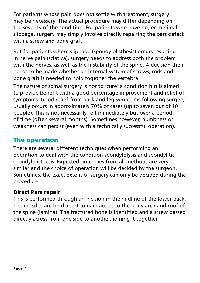For patients whose pain does not settle with treatment, surgery may be necessary. The actual procedure may differ depending on the severity of the condition. For patients who have no, or minimal slippage, surgery may simply involve directly repairing the pars defect with a screw and bone graft.

But for patients where slippage (spondylolisthesis) occurs resulting in nerve pain (sciatica), surgery needs to address both the problem with the nerves, as well as the instability of the spine. A decision then needs to be made whether an internal system of screws, rods and bone graft is needed to hold together the vertebra.

The nature of spinal surgery is not to 'cure' a condition but is aimed to provide benefit with a good percentage improvement and relief of symptoms. Good relief from back and leg symptoms following surgery usually occurs in approximately 70% of cases (up to seven out of 10 people). This is not necessarily felt immediately but over a period of time (often several months). Sometimes however, numbness or weakness can persist (even with a technically successful operation).

### The operation

There are several different techniques when performing an operation to deal with the condition spondylolysis and spondylitic spondylolisthesis. Expected outcomes from all methods are very similar and the choice of operation will be decided by the surgeon. Sometimes, the exact extent of surgery can only be decided during the procedure.

#### Direct Pars repair

This is performed through an incision in the midline of the lower back. The muscles are held apart to gain access to the bony arch and roof of the spine (lamina). The fractured bone is identified and a screw passed directly across from one side to another, joining it together.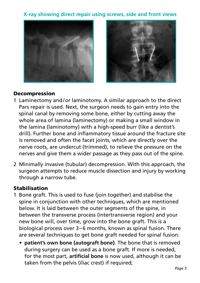#### **X-ray showing direct repair using screws, side and front views**





#### Decompression

- 1 Laminectomy and/or laminotomy. A similar approach to the direct Pars repair is used. Next, the surgeon needs to gain entry into the spinal canal by removing some bone, either by cutting away the whole area of lamina (laminectomy) or making a small window in the lamina (laminotomy) with a high-speed burr (like a dentist's drill). Further bone and inflammatory tissue around the fracture site is removed and often the facet joints, which are directly over the nerve roots, are undercut (trimmed), to relieve the pressure on the nerves and give them a wider passage as they pass out of the spine.
- 2 Minimally invasive (tubular) decompression. With this approach, the surgeon attempts to reduce muscle dissection and injury by working through a narrow tube.

#### Stabilisation

- 1 Bone graft. This is used to fuse (join together) and stabilise the spine in conjunction with other techniques, which are mentioned below. It is laid between the outer segments of the spine, in between the transverse process (intertransverse region) and your new bone will, over time, grow into the bone graft. This is a biological process over 3–6 months, known as spinal fusion. There are several techniques to get bone graft needed for spinal fusion:
	- **patient's own bone (autograft bone)**. The bone that is removed during surgery can be used as a bone graft. If more is needed, for the most part, **artificial bone** is now used, although it can be taken from the pelvis (iliac crest) if required;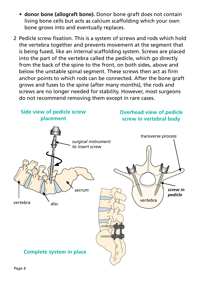- **donor bone (allograft bone).** Donor bone graft does not contain living bone cells but acts as calcium scaffolding which your own bone grows into and eventually replaces.
- 2 Pedicle screw fixation. This is a system of screws and rods which hold the vertebra together and prevents movement at the segment that is being fused, like an internal scaffolding system. Screws are placed into the part of the vertebra called the pedicle, which go directly from the back of the spine to the front, on both sides, above and below the unstable spinal segment. These screws then act as firm anchor points to which rods can be connected. After the bone graft grows and fuses to the spine (after many months), the rods and screws are no longer needed for stability. However, most surgeons do not recommend removing them except in rare cases.

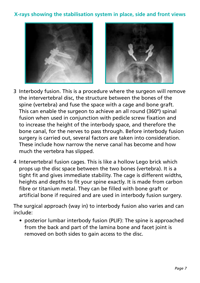#### **X-rays showing the stabilisation system in place, side and front views**



- 3 Interbody fusion. This is a procedure where the surgeon will remove the intervertebral disc, the structure between the bones of the spine (vertebra) and fuse the space with a cage and bone graft. This can enable the surgeon to achieve an all round (360**°**) spinal fusion when used in conjunction with pedicle screw fixation and to increase the height of the interbody space, and therefore the bone canal, for the nerves to pass through. Before interbody fusion surgery is carried out, several factors are taken into consideration. These include how narrow the nerve canal has become and how much the vertebra has slipped.
- 4 Intervertebral fusion cages. This is like a hollow Lego brick which props up the disc space between the two bones (vertebra). It is a tight fit and gives immediate stability. The cage is different widths, heights and depths to fit your spine exactly. It is made from carbon fibre or titanium metal. They can be filled with bone graft or artificial bone if required and are used in interbody fusion surgery.

The surgical approach (way in) to interbody fusion also varies and can include:

 • posterior lumbar interbody fusion (PLIF): The spine is approached from the back and part of the lamina bone and facet joint is removed on both sides to gain access to the disc.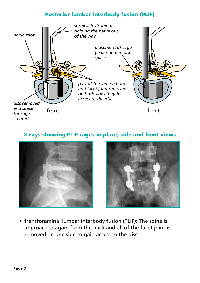#### Posterior lumbar interbody fusion (PLIF)



#### X-rays showing PLIF cages in place, side and front views





 • transforaminal lumbar interbody fusion (TLIF): The spine is approached again from the back and all of the facet joint is removed on one side to gain access to the disc.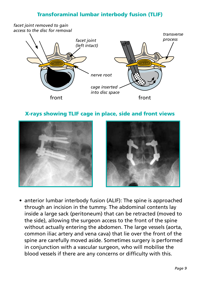#### Transforaminal lumbar interbody fusion (TLIF)



#### X-rays showing TLIF cage in place, side and front views





 • anterior lumbar interbody fusion (ALIF): The spine is approached through an incision in the tummy. The abdominal contents lay inside a large sack (peritoneum) that can be retracted (moved to the side), allowing the surgeon access to the front of the spine without actually entering the abdomen. The large vessels (aorta, common iliac artery and vena cava) that lie over the front of the spine are carefully moved aside. Sometimes surgery is performed in conjunction with a vascular surgeon, who will mobilise the blood vessels if there are any concerns or difficulty with this.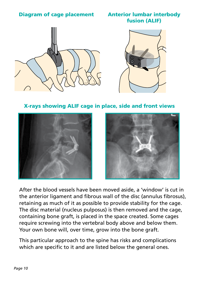#### Diagram of cage placement Anterior lumbar interbody

## fusion (ALIF)





X-rays showing ALIF cage in place, side and front views





 After the blood vessels have been moved aside, a 'window' is cut in the anterior ligament and fibrous wall of the disc (annulus fibrosus), retaining as much of it as possible to provide stability for the cage. The disc material (nucleus pulposus) is then removed and the cage, containing bone graft, is placed in the space created. Some cages require screwing into the vertebral body above and below them. Your own bone will, over time, grow into the bone graft.

 This particular approach to the spine has risks and complications which are specific to it and are listed below the general ones.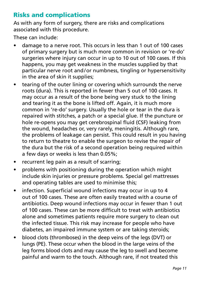### Risks and complications

As with any form of surgery, there are risks and complications associated with this procedure.

These can include:

- damage to a nerve root. This occurs in less than 1 out of 100 cases of primary surgery but is much more common in revision or 're-do' surgeries where injury can occur in up to 10 out of 100 cases. If this happens, you may get weakness in the muscles supplied by that particular nerve root and/or numbness, tingling or hypersensitivity in the area of skin it supplies;
- tearing of the outer lining or covering which surrounds the nerve roots (dura). This is reported in fewer than 5 out of 100 cases. It may occur as a result of the bone being very stuck to the lining and tearing it as the bone is lifted off. Again, it is much more common in 're-do' surgery. Usually the hole or tear in the dura is repaired with stitches, a patch or a special glue. If the puncture or hole re-opens you may get cerebrospinal fluid (CSF) leaking from the wound, headaches or, very rarely, meningitis. Although rare, the problems of leakage can persist. This could result in you having to return to theatre to enable the surgeon to revise the repair of the dura but the risk of a second operation being required within a few days or weeks is less than 0.05%;
- recurrent leg pain as a result of scarring;
- problems with positioning during the operation which might include skin injuries or pressure problems. Special gel mattresses and operating tables are used to minimise this;
- infection. Superficial wound infections may occur in up to 4 out of 100 cases. These are often easily treated with a course of antibiotics. Deep wound infections may occur in fewer than 1 out of 100 cases. These can be more difficult to treat with antibiotics alone and sometimes patients require more surgery to clean out the infected tissue. This risk may increase for people who have diabetes, an impaired immune system or are taking steroids;
- blood clots (thromboses) in the deep veins of the legs (DVT) or lungs (PE). These occur when the blood in the large veins of the leg forms blood clots and may cause the leg to swell and become painful and warm to the touch. Although rare, if not treated this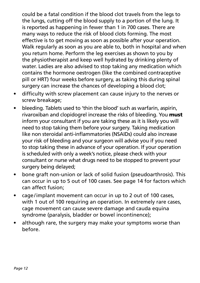could be a fatal condition if the blood clot travels from the legs to the lungs, cutting off the blood supply to a portion of the lung. It is reported as happening in fewer than 1 in 700 cases. There are many ways to reduce the risk of blood clots forming. The most effective is to get moving as soon as possible after your operation. Walk regularly as soon as you are able to, both in hospital and when you return home. Perform the leg exercises as shown to you by the physiotherapist and keep well hydrated by drinking plenty of water. Ladies are also advised to stop taking any medication which contains the hormone oestrogen (like the combined contraceptive pill or HRT) four weeks before surgery, as taking this during spinal surgery can increase the chances of developing a blood clot;

- difficulty with screw placement can cause injury to the nerves or screw breakage;
- bleeding. Tablets used to 'thin the blood' such as warfarin, aspirin, rivaroxiban and clopidogrel increase the risks of bleeding. You **must** inform your consultant if you are taking these as it is likely you will need to stop taking them before your surgery. Taking medication like non steroidal anti-inflammatories (NSAIDs) could also increase your risk of bleeding and your surgeon will advise you if you need to stop taking these in advance of your operation. If your operation is scheduled with only a week's notice, please check with your consultant or nurse what drugs need to be stopped to prevent your surgery being delayed;
- bone graft non-union or lack of solid fusion (pseudoarthrosis). This can occur in up to 5 out of 100 cases. See page 14 for factors which can affect fusion;
- cage/implant movement can occur in up to 2 out of 100 cases, with 1 out of 100 requiring an operation. In extremely rare cases, cage movement can cause severe damage and cauda equina syndrome (paralysis, bladder or bowel incontinence);
- although rare, the surgery may make your symptoms worse than before.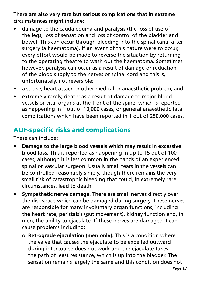**There are also very rare but serious complications that in extreme circumstances might include:** 

- damage to the cauda equina and paralysis (the loss of use of the legs, loss of sensation and loss of control of the bladder and bowel. This can occur through bleeding into the spinal canal after surgery (a haematoma). If an event of this nature were to occur, every effort would be made to reverse the situation by returning to the operating theatre to wash out the haematoma. Sometimes however, paralysis can occur as a result of damage or reduction of the blood supply to the nerves or spinal cord and this is, unfortunately, not reversible;
- a stroke, heart attack or other medical or anaesthetic problem; and
- extremely rarely, death; as a result of damage to major blood vessels or vital organs at the front of the spine, which is reported as happening in 1 out of 10,000 cases; or general anaesthetic fatal complications which have been reported in 1 out of 250,000 cases.

### ALIF-specific risks and complications

These can include:

- **Damage to the large blood vessels which may result in excessive blood loss.** This is reported as happening in up to 15 out of 100 cases, although it is less common in the hands of an experienced spinal or vascular surgeon. Usually small tears in the vessels can be controlled reasonably simply, though there remains the very small risk of catastrophic bleeding that could, in extremely rare circumstances, lead to death.
- • **Sympathetic nerve damage.** There are small nerves directly over the disc space which can be damaged during surgery. These nerves are responsible for many involuntary organ functions, including the heart rate, peristalsis (gut movement), kidney function and, in men, the ability to ejaculate. If these nerves are damaged it can cause problems including:
	- o **Retrograde ejaculation (men only).** This is a condition where the valve that causes the ejaculate to be expelled outward during intercourse does not work and the ejaculate takes the path of least resistance, which is up into the bladder. The sensation remains largely the same and this condition does not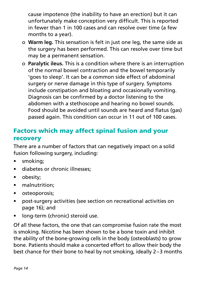cause impotence (the inability to have an erection) but it can unfortunately make conception very difficult. This is reported in fewer than 1 in 100 cases and can resolve over time (a few months to a year).

- o **Warm leg.** This sensation is felt in just one leg, the same side as the surgery has been performed. This can resolve over time but may be a permanent sensation.
- o **Paralytic ileus.** This is a condition where there is an interruption of the normal bowel contraction and the bowel temporarily 'goes to sleep'. It can be a common side effect of abdominal surgery or nerve damage in this type of surgery. Symptoms include constipation and bloating and occasionally vomiting. Diagnosis can be confirmed by a doctor listening to the abdomen with a stethoscope and hearing no bowel sounds. Food should be avoided until sounds are heard and flatus (gas) passed again. This condition can occur in 11 out of 100 cases.

### Factors which may affect spinal fusion and your recovery

There are a number of factors that can negatively impact on a solid fusion following surgery, including:

- smoking;
- diabetes or chronic illnesses;
- obesity:
- malnutrition;
- • osteoporosis;
- post-surgery activities (see section on recreational activities on page 16); and
- long-term (chronic) steroid use.

Of all these factors, the one that can compromise fusion rate the most is smoking. Nicotine has been shown to be a bone toxin and inhibit the ability of the bone-growing cells in the body (osteoblasts) to grow bone. Patients should make a concerted effort to allow their body the best chance for their bone to heal by not smoking, ideally 2–3 months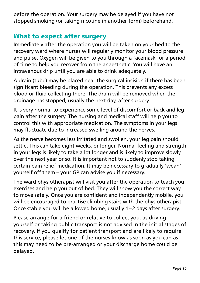before the operation. Your surgery may be delayed if you have not stopped smoking (or taking nicotine in another form) beforehand.

### What to expect after surgery

Immediately after the operation you will be taken on your bed to the recovery ward where nurses will regularly monitor your blood pressure and pulse. Oxygen will be given to you through a facemask for a period of time to help you recover from the anaesthetic. You will have an intravenous drip until you are able to drink adequately.

A drain (tube) may be placed near the surgical incision if there has been significant bleeding during the operation. This prevents any excess blood or fluid collecting there. The drain will be removed when the drainage has stopped, usually the next day, after surgery.

It is very normal to experience some level of discomfort or back and leg pain after the surgery. The nursing and medical staff will help you to control this with appropriate medication. The symptoms in your legs may fluctuate due to increased swelling around the nerves.

As the nerve becomes less irritated and swollen, your leg pain should settle. This can take eight weeks, or longer. Normal feeling and strength in your legs is likely to take a lot longer and is likely to improve slowly over the next year or so. It is important not to suddenly stop taking certain pain relief medication. It may be necessary to gradually 'wean' yourself off them – your GP can advise you if necessary.

The ward physiotherapist will visit you after the operation to teach you exercises and help you out of bed. They will show you the correct way to move safely. Once you are confident and independently mobile, you will be encouraged to practise climbing stairs with the physiotherapist. Once stable you will be allowed home, usually 1–2 days after surgery.

Please arrange for a friend or relative to collect you, as driving yourself or taking public transport is not advised in the initial stages of recovery. If you qualify for patient transport and are likely to require this service, please let one of the nurses know as soon as you can as this may need to be pre-arranged or your discharge home could be delayed.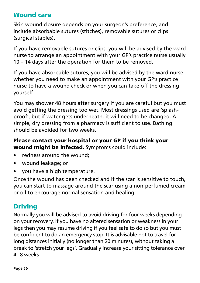#### Wound care

Skin wound closure depends on your surgeon's preference, and include absorbable sutures (stitches), removable sutures or clips (surgical staples).

If you have removable sutures or clips, you will be advised by the ward nurse to arrange an appointment with your GP's practice nurse usually 10 – 14 days after the operation for them to be removed.

If you have absorbable sutures, you will be advised by the ward nurse whether you need to make an appointment with your GP's practice nurse to have a wound check or when you can take off the dressing yourself.

You may shower 48 hours after surgery if you are careful but you must avoid getting the dressing too wet. Most dressings used are 'splashproof', but if water gets underneath, it will need to be changed. A simple, dry dressing from a pharmacy is sufficient to use. Bathing should be avoided for two weeks.

#### Please contact your hospital or your GP if you think your wound might be infected. Symptoms could include:

- redness around the wound:
- • wound leakage; or
- you have a high temperature.

Once the wound has been checked and if the scar is sensitive to touch, you can start to massage around the scar using a non-perfumed cream or oil to encourage normal sensation and healing.

### **Driving**

Normally you will be advised to avoid driving for four weeks depending on your recovery. If you have no altered sensation or weakness in your legs then you may resume driving if you feel safe to do so but you must be confident to do an emergency stop. It is advisable not to travel for long distances initially (no longer than 20 minutes), without taking a break to 'stretch your legs'. Gradually increase your sitting tolerance over 4–8 weeks.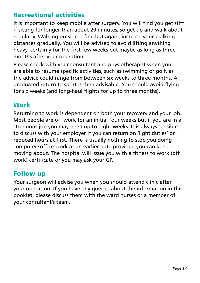### Recreational activities

It is important to keep mobile after surgery. You will find you get stiff if sitting for longer than about 20 minutes, so get up and walk about regularly. Walking outside is fine but again, increase your walking distances gradually. You will be advised to avoid lifting anything heavy, certainly for the first few weeks but maybe as long as three months after your operation.

Please check with your consultant and physiotherapist when you are able to resume specific activities, such as swimming or golf, as the advice could range from between six weeks to three months. A graduated return to sport is then advisable. You should avoid flying for six weeks (and long-haul flights for up to three months).

#### **Work**

Returning to work is dependent on both your recovery and your job. Most people are off work for an initial four weeks but if you are in a strenuous job you may need up to eight weeks. It is always sensible to discuss with your employer if you can return on 'light duties' or reduced hours at first. There is usually nothing to stop you doing computer/office work at an earlier date provided you can keep moving about. The hospital will issue you with a fitness to work (off work) certificate or you may ask your GP.

#### Follow-up

Your surgeon will advise you when you should attend clinic after your operation. If you have any queries about the information in this booklet, please discuss them with the ward nurses or a member of your consultant's team.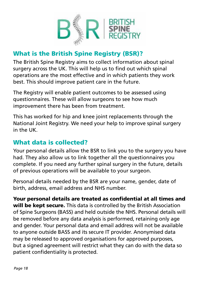

### What is the British Spine Registry (BSR)?

The British Spine Registry aims to collect information about spinal surgery across the UK. This will help us to find out which spinal operations are the most effective and in which patients they work best. This should improve patient care in the future.

The Registry will enable patient outcomes to be assessed using questionnaires. These will allow surgeons to see how much improvement there has been from treatment.

This has worked for hip and knee joint replacements through the National Joint Registry. We need your help to improve spinal surgery in the UK.

### What data is collected?

Your personal details allow the BSR to link you to the surgery you have had. They also allow us to link together all the questionnaires you complete. If you need any further spinal surgery in the future, details of previous operations will be available to your surgeon.

Personal details needed by the BSR are your name, gender, date of birth, address, email address and NHS number.

Your personal details are treated as confidential at all times and will be kept secure. This data is controlled by the British Association of Spine Surgeons (BASS) and held outside the NHS. Personal details will be removed before any data analysis is performed, retaining only age and gender. Your personal data and email address will not be available to anyone outside BASS and its secure IT provider. Anonymised data may be released to approved organisations for approved purposes, but a signed agreement will restrict what they can do with the data so patient confidentiality is protected.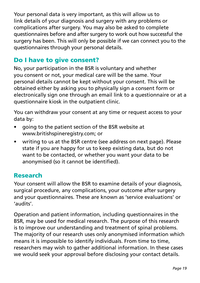Your personal data is very important, as this will allow us to link details of your diagnosis and surgery with any problems or complications after surgery. You may also be asked to complete questionnaires before and after surgery to work out how successful the surgery has been. This will only be possible if we can connect you to the questionnaires through your personal details.

### Do I have to give consent?

No, your participation in the BSR is voluntary and whether you consent or not, your medical care will be the same. Your personal details cannot be kept without your consent. This will be obtained either by asking you to physically sign a consent form or electronically sign one through an email link to a questionnaire or at a questionnaire kiosk in the outpatient clinic.

You can withdraw your consent at any time or request access to your data by:

- • going to the patient section of the BSR website at www.britishspineregistry.com; or
- writing to us at the BSR centre (see address on next page). Please state if you are happy for us to keep existing data, but do not want to be contacted, or whether you want your data to be anonymised (so it cannot be identified).

#### Research

Your consent will allow the BSR to examine details of your diagnosis, surgical procedure, any complications, your outcome after surgery and your questionnaires. These are known as 'service evaluations' or 'audits'.

Operation and patient information, including questionnaires in the BSR, may be used for medical research. The purpose of this research is to improve our understanding and treatment of spinal problems. The majority of our research uses only anonymised information which means it is impossible to identify individuals. From time to time, researchers may wish to gather additional information. In these cases we would seek your approval before disclosing your contact details.